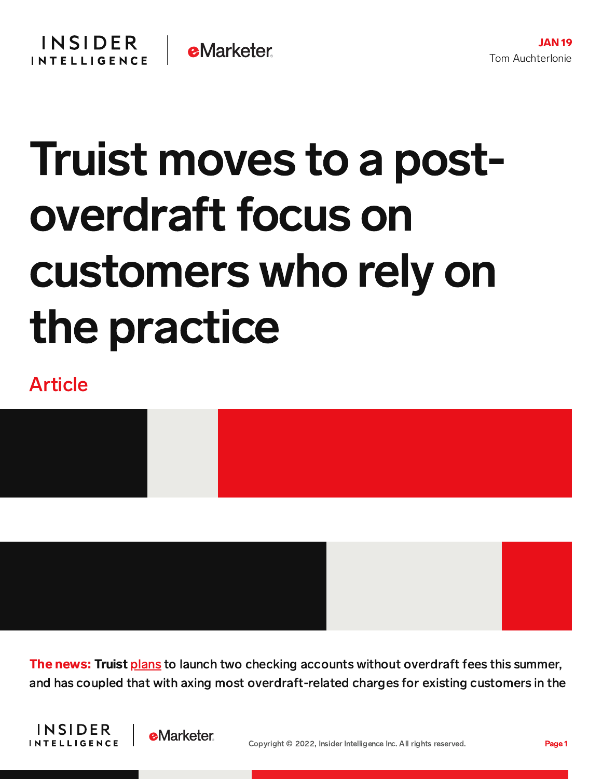## Truist moves to a postoverdraft focus on customers who rely on the practice

## Article



The news: Truist [plans](https://media.truist.com/2022-01-18-Truist-announces-purpose-driven-approach-to-checking-account-experience) to launch two checking accounts without overdraft fees this summer, and has coupled that with axing most overdraft-related charges for existing customers in the



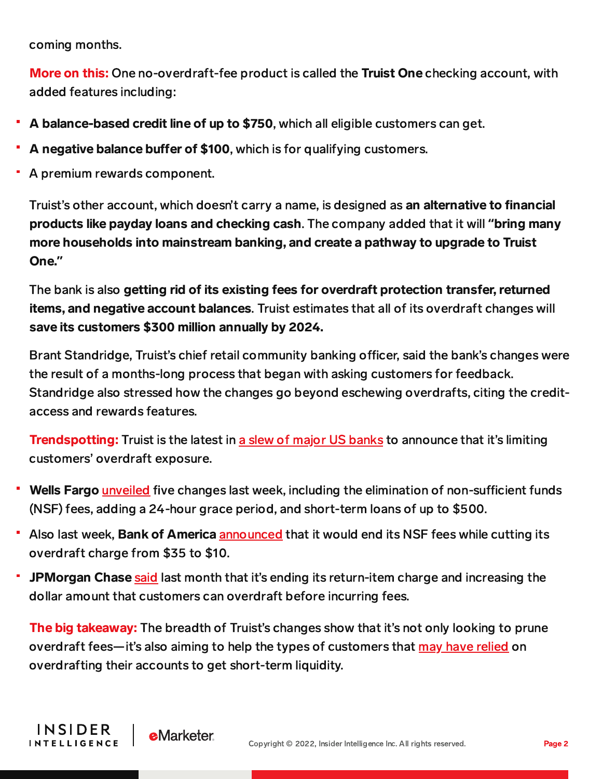coming months.

INSIDER

**INTELLIGENCE** 

**e**Marketer

More on this: One no-overdraft-fee product is called the Truist One checking account, with added features including:

- A balance-based credit line of up to \$750, which all eligible customers can get.
- A negative balance buffer of \$100, which is for qualifying customers.
- A premium rewards component.

Truist's other account, which doesn't carry a name, is designed as an alternative to financial products like payday loans and checking cash. The company added that it will **"**bring many more households into mainstream banking, and create a pathway to upgrade to Truist One.**"**

The bank is also getting rid of its existing fees for overdraft protection transfer, returned items, and negative account balances. Truist estimates that all of its overdraft changes will save its customers \$300 million annually by 2024.

Brant Standridge, Truist's chief retail community banking officer, said the bank's changes were the result of a months-long process that began with asking customers for feedback. Standridge also stressed how the changes go beyond eschewing overdrafts, citing the creditaccess and rewards features.

**Trendspotting:** Truist is the latest in a slew of major US [banks](https://content-na2.emarketer.com/bofa-overdraft-cuts-could-help-its-standing-with-regulators-scrutinizing-fees?utm_campaign=banking+briefing+01/12/2022+smb+neobanks+trio+lending&utm_medium=email&utm_source=triggermail&utm_term=bii+list+banking+all) to announce that it's limiting customers' overdraft exposure.

- Wells Fargo [unveiled](https://content-na2.emarketer.com/wells-fargo-joins-peers-cutting-overdraft-fee-exposure-staying-ahead-of-regulators) five changes last week, including the elimination of non-sufficient funds (NSF) fees, adding a 24-hour grace period, and short-term loans of up to \$500.
- Also last week, **Bank of America** [announced](https://content-na2.emarketer.com/bofa-overdraft-cuts-could-help-its-standing-with-regulators-scrutinizing-fees?utm_campaign=banking+briefing+01/12/2022+smb+neobanks+trio+lending&utm_medium=email&utm_source=triggermail&utm_term=bii+list+banking+all) that it would end its NSF fees while cutting its overdraft charge from \$35 to \$10.
- JPMorgan Chase [said](https://content-na2.emarketer.com/jpmorgan-takes-relatively-modest-steps-cut-customers-overdraft-fee-exposure) last month that it's ending its return-item charge and increasing the dollar amount that customers can overdraft before incurring fees.

**The big takeaway:** The breadth of Truist's changes show that it's not only looking to prune overdraft fees—it's also aiming to help the types of customers that may have [relied](https://content-na2.emarketer.com/jpmorgan-takes-relatively-modest-steps-cut-customers-overdraft-fee-exposure) on overdrafting their accounts to get short-term liquidity.